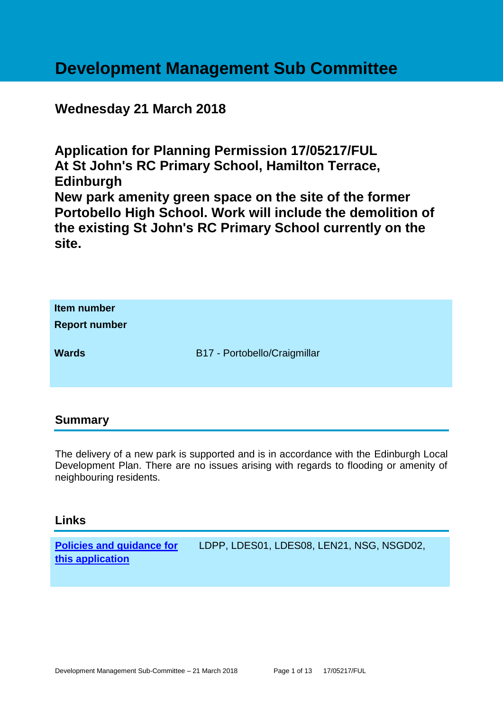# **Development Management Sub Committee**

# **Wednesday 21 March 2018**

**Application for Planning Permission 17/05217/FUL At St John's RC Primary School, Hamilton Terrace, Edinburgh New park amenity green space on the site of the former Portobello High School. Work will include the demolition of the existing St John's RC Primary School currently on the site.**

| Item number<br><b>Report number</b> |                              |
|-------------------------------------|------------------------------|
| <b>Wards</b>                        | B17 - Portobello/Craigmillar |

#### **Summary**

The delivery of a new park is supported and is in accordance with the Edinburgh Local Development Plan. There are no issues arising with regards to flooding or amenity of neighbouring residents.

#### **Links**

**[Policies and guidance for](file:///C:/uniform/temp/uf04148.rtf%23Policies)  [this application](file:///C:/uniform/temp/uf04148.rtf%23Policies)** LDPP, LDES01, LDES08, LEN21, NSG, NSGD02,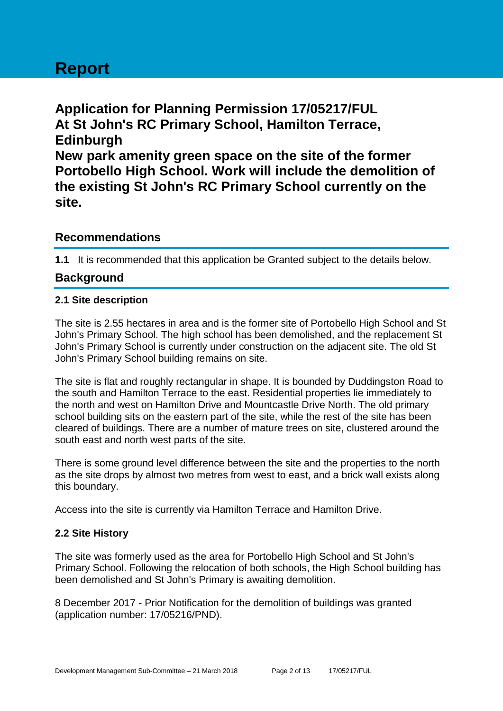# **Report**

**Application for Planning Permission 17/05217/FUL At St John's RC Primary School, Hamilton Terrace, Edinburgh New park amenity green space on the site of the former Portobello High School. Work will include the demolition of the existing St John's RC Primary School currently on the site.**

# **Recommendations**

**1.1** It is recommended that this application be Granted subject to the details below.

# **Background**

#### **2.1 Site description**

The site is 2.55 hectares in area and is the former site of Portobello High School and St John's Primary School. The high school has been demolished, and the replacement St John's Primary School is currently under construction on the adjacent site. The old St John's Primary School building remains on site.

The site is flat and roughly rectangular in shape. It is bounded by Duddingston Road to the south and Hamilton Terrace to the east. Residential properties lie immediately to the north and west on Hamilton Drive and Mountcastle Drive North. The old primary school building sits on the eastern part of the site, while the rest of the site has been cleared of buildings. There are a number of mature trees on site, clustered around the south east and north west parts of the site.

There is some ground level difference between the site and the properties to the north as the site drops by almost two metres from west to east, and a brick wall exists along this boundary.

Access into the site is currently via Hamilton Terrace and Hamilton Drive.

#### **2.2 Site History**

The site was formerly used as the area for Portobello High School and St John's Primary School. Following the relocation of both schools, the High School building has been demolished and St John's Primary is awaiting demolition.

8 December 2017 - Prior Notification for the demolition of buildings was granted (application number: 17/05216/PND).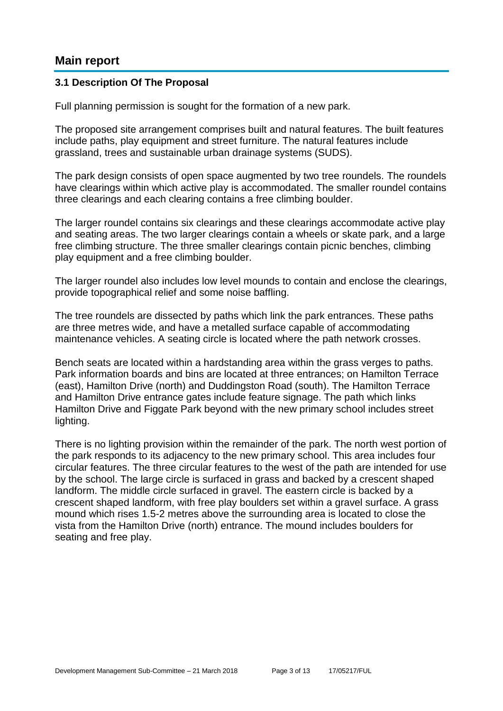# **Main report**

#### **3.1 Description Of The Proposal**

Full planning permission is sought for the formation of a new park.

The proposed site arrangement comprises built and natural features. The built features include paths, play equipment and street furniture. The natural features include grassland, trees and sustainable urban drainage systems (SUDS).

The park design consists of open space augmented by two tree roundels. The roundels have clearings within which active play is accommodated. The smaller roundel contains three clearings and each clearing contains a free climbing boulder.

The larger roundel contains six clearings and these clearings accommodate active play and seating areas. The two larger clearings contain a wheels or skate park, and a large free climbing structure. The three smaller clearings contain picnic benches, climbing play equipment and a free climbing boulder.

The larger roundel also includes low level mounds to contain and enclose the clearings, provide topographical relief and some noise baffling.

The tree roundels are dissected by paths which link the park entrances. These paths are three metres wide, and have a metalled surface capable of accommodating maintenance vehicles. A seating circle is located where the path network crosses.

Bench seats are located within a hardstanding area within the grass verges to paths. Park information boards and bins are located at three entrances; on Hamilton Terrace (east), Hamilton Drive (north) and Duddingston Road (south). The Hamilton Terrace and Hamilton Drive entrance gates include feature signage. The path which links Hamilton Drive and Figgate Park beyond with the new primary school includes street lighting.

There is no lighting provision within the remainder of the park. The north west portion of the park responds to its adjacency to the new primary school. This area includes four circular features. The three circular features to the west of the path are intended for use by the school. The large circle is surfaced in grass and backed by a crescent shaped landform. The middle circle surfaced in gravel. The eastern circle is backed by a crescent shaped landform, with free play boulders set within a gravel surface. A grass mound which rises 1.5-2 metres above the surrounding area is located to close the vista from the Hamilton Drive (north) entrance. The mound includes boulders for seating and free play.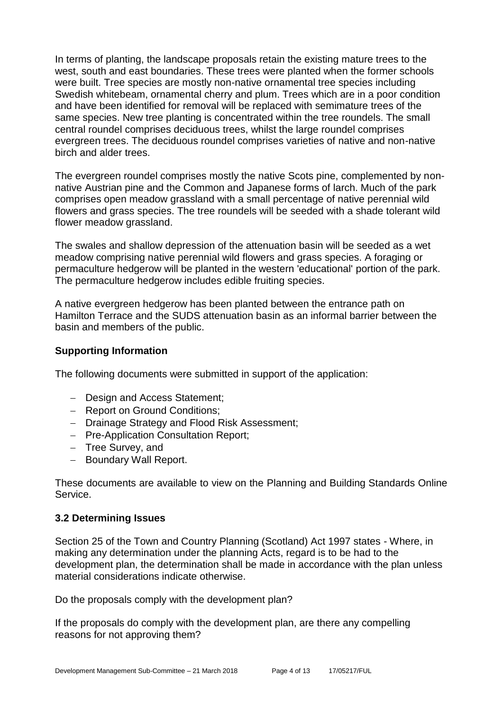In terms of planting, the landscape proposals retain the existing mature trees to the west, south and east boundaries. These trees were planted when the former schools were built. Tree species are mostly non-native ornamental tree species including Swedish whitebeam, ornamental cherry and plum. Trees which are in a poor condition and have been identified for removal will be replaced with semimature trees of the same species. New tree planting is concentrated within the tree roundels. The small central roundel comprises deciduous trees, whilst the large roundel comprises evergreen trees. The deciduous roundel comprises varieties of native and non-native birch and alder trees.

The evergreen roundel comprises mostly the native Scots pine, complemented by nonnative Austrian pine and the Common and Japanese forms of larch. Much of the park comprises open meadow grassland with a small percentage of native perennial wild flowers and grass species. The tree roundels will be seeded with a shade tolerant wild flower meadow grassland.

The swales and shallow depression of the attenuation basin will be seeded as a wet meadow comprising native perennial wild flowers and grass species. A foraging or permaculture hedgerow will be planted in the western 'educational' portion of the park. The permaculture hedgerow includes edible fruiting species.

A native evergreen hedgerow has been planted between the entrance path on Hamilton Terrace and the SUDS attenuation basin as an informal barrier between the basin and members of the public.

#### **Supporting Information**

The following documents were submitted in support of the application:

- Design and Access Statement;
- Report on Ground Conditions;
- Drainage Strategy and Flood Risk Assessment;
- Pre-Application Consultation Report;
- Tree Survey, and
- Boundary Wall Report.

These documents are available to view on the Planning and Building Standards Online Service.

#### **3.2 Determining Issues**

Section 25 of the Town and Country Planning (Scotland) Act 1997 states - Where, in making any determination under the planning Acts, regard is to be had to the development plan, the determination shall be made in accordance with the plan unless material considerations indicate otherwise.

Do the proposals comply with the development plan?

If the proposals do comply with the development plan, are there any compelling reasons for not approving them?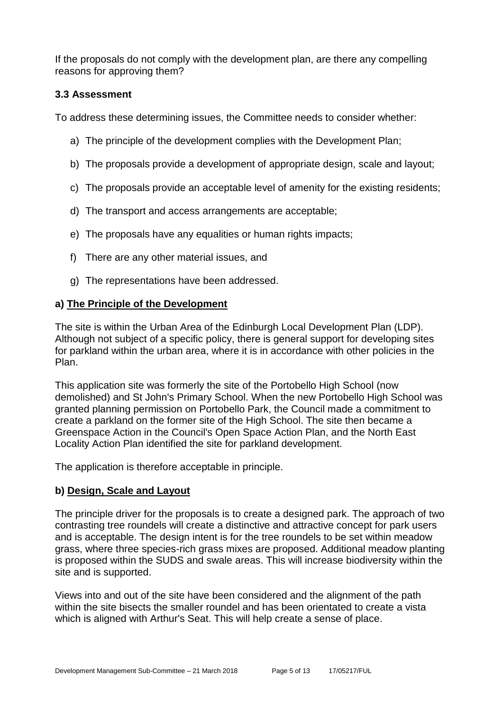If the proposals do not comply with the development plan, are there any compelling reasons for approving them?

#### **3.3 Assessment**

To address these determining issues, the Committee needs to consider whether:

- a) The principle of the development complies with the Development Plan;
- b) The proposals provide a development of appropriate design, scale and layout;
- c) The proposals provide an acceptable level of amenity for the existing residents;
- d) The transport and access arrangements are acceptable;
- e) The proposals have any equalities or human rights impacts;
- f) There are any other material issues, and
- g) The representations have been addressed.

#### **a) The Principle of the Development**

The site is within the Urban Area of the Edinburgh Local Development Plan (LDP). Although not subject of a specific policy, there is general support for developing sites for parkland within the urban area, where it is in accordance with other policies in the Plan.

This application site was formerly the site of the Portobello High School (now demolished) and St John's Primary School. When the new Portobello High School was granted planning permission on Portobello Park, the Council made a commitment to create a parkland on the former site of the High School. The site then became a Greenspace Action in the Council's Open Space Action Plan, and the North East Locality Action Plan identified the site for parkland development.

The application is therefore acceptable in principle.

#### **b) Design, Scale and Layout**

The principle driver for the proposals is to create a designed park. The approach of two contrasting tree roundels will create a distinctive and attractive concept for park users and is acceptable. The design intent is for the tree roundels to be set within meadow grass, where three species-rich grass mixes are proposed. Additional meadow planting is proposed within the SUDS and swale areas. This will increase biodiversity within the site and is supported.

Views into and out of the site have been considered and the alignment of the path within the site bisects the smaller roundel and has been orientated to create a vista which is aligned with Arthur's Seat. This will help create a sense of place.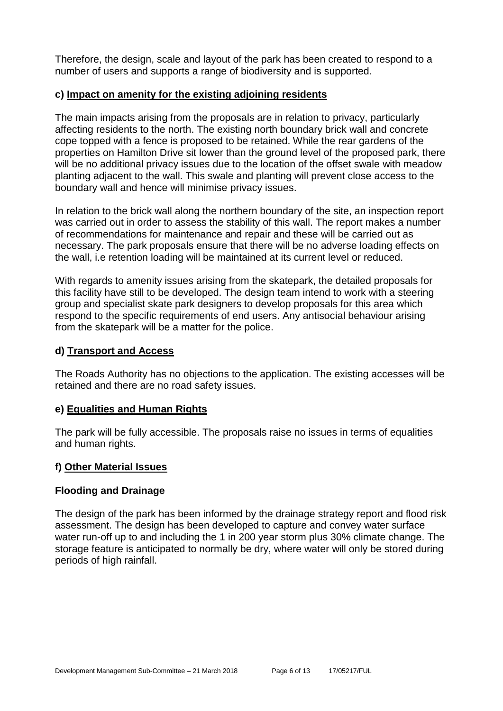Therefore, the design, scale and layout of the park has been created to respond to a number of users and supports a range of biodiversity and is supported.

#### **c) Impact on amenity for the existing adjoining residents**

The main impacts arising from the proposals are in relation to privacy, particularly affecting residents to the north. The existing north boundary brick wall and concrete cope topped with a fence is proposed to be retained. While the rear gardens of the properties on Hamilton Drive sit lower than the ground level of the proposed park, there will be no additional privacy issues due to the location of the offset swale with meadow planting adjacent to the wall. This swale and planting will prevent close access to the boundary wall and hence will minimise privacy issues.

In relation to the brick wall along the northern boundary of the site, an inspection report was carried out in order to assess the stability of this wall. The report makes a number of recommendations for maintenance and repair and these will be carried out as necessary. The park proposals ensure that there will be no adverse loading effects on the wall, i.e retention loading will be maintained at its current level or reduced.

With regards to amenity issues arising from the skatepark, the detailed proposals for this facility have still to be developed. The design team intend to work with a steering group and specialist skate park designers to develop proposals for this area which respond to the specific requirements of end users. Any antisocial behaviour arising from the skatepark will be a matter for the police.

#### **d) Transport and Access**

The Roads Authority has no objections to the application. The existing accesses will be retained and there are no road safety issues.

#### **e) Equalities and Human Rights**

The park will be fully accessible. The proposals raise no issues in terms of equalities and human rights.

#### **f) Other Material Issues**

#### **Flooding and Drainage**

The design of the park has been informed by the drainage strategy report and flood risk assessment. The design has been developed to capture and convey water surface water run-off up to and including the 1 in 200 year storm plus 30% climate change. The storage feature is anticipated to normally be dry, where water will only be stored during periods of high rainfall.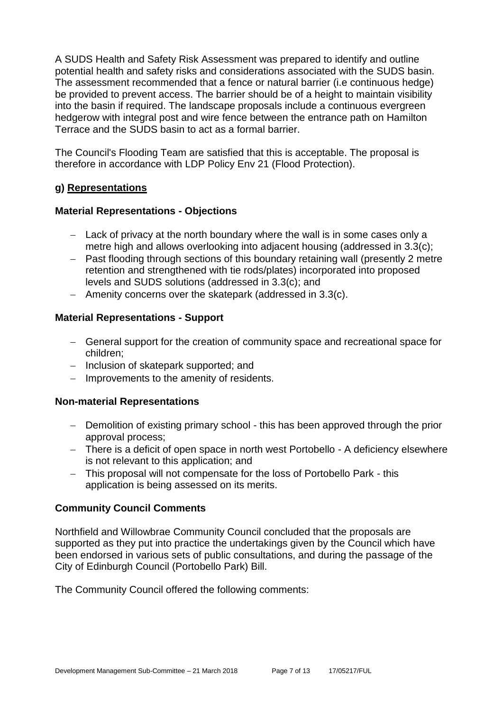A SUDS Health and Safety Risk Assessment was prepared to identify and outline potential health and safety risks and considerations associated with the SUDS basin. The assessment recommended that a fence or natural barrier (i.e continuous hedge) be provided to prevent access. The barrier should be of a height to maintain visibility into the basin if required. The landscape proposals include a continuous evergreen hedgerow with integral post and wire fence between the entrance path on Hamilton Terrace and the SUDS basin to act as a formal barrier.

The Council's Flooding Team are satisfied that this is acceptable. The proposal is therefore in accordance with LDP Policy Env 21 (Flood Protection).

#### **g) Representations**

#### **Material Representations - Objections**

- Lack of privacy at the north boundary where the wall is in some cases only a metre high and allows overlooking into adjacent housing (addressed in 3.3(c);
- Past flooding through sections of this boundary retaining wall (presently 2 metre retention and strengthened with tie rods/plates) incorporated into proposed levels and SUDS solutions (addressed in 3.3(c); and
- Amenity concerns over the skatepark (addressed in 3.3(c).

#### **Material Representations - Support**

- General support for the creation of community space and recreational space for children;
- Inclusion of skatepark supported; and
- $-$  Improvements to the amenity of residents.

#### **Non-material Representations**

- Demolition of existing primary school this has been approved through the prior approval process;
- There is a deficit of open space in north west Portobello A deficiency elsewhere is not relevant to this application; and
- This proposal will not compensate for the loss of Portobello Park this application is being assessed on its merits.

#### **Community Council Comments**

Northfield and Willowbrae Community Council concluded that the proposals are supported as they put into practice the undertakings given by the Council which have been endorsed in various sets of public consultations, and during the passage of the City of Edinburgh Council (Portobello Park) Bill.

The Community Council offered the following comments: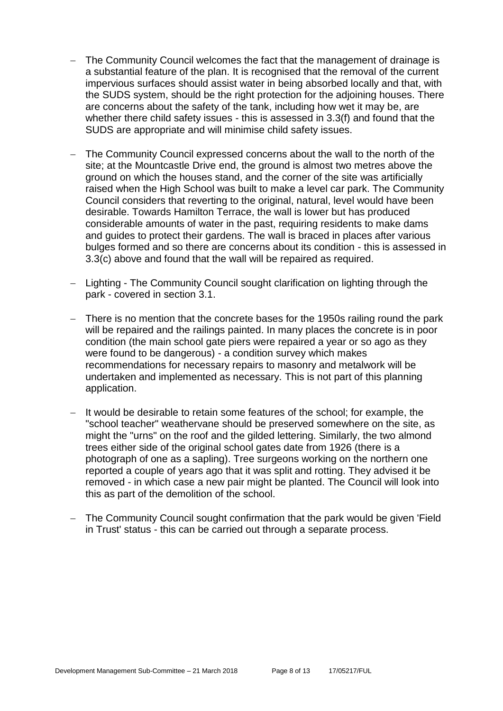- The Community Council welcomes the fact that the management of drainage is a substantial feature of the plan. It is recognised that the removal of the current impervious surfaces should assist water in being absorbed locally and that, with the SUDS system, should be the right protection for the adjoining houses. There are concerns about the safety of the tank, including how wet it may be, are whether there child safety issues - this is assessed in 3.3(f) and found that the SUDS are appropriate and will minimise child safety issues.
- The Community Council expressed concerns about the wall to the north of the site; at the Mountcastle Drive end, the ground is almost two metres above the ground on which the houses stand, and the corner of the site was artificially raised when the High School was built to make a level car park. The Community Council considers that reverting to the original, natural, level would have been desirable. Towards Hamilton Terrace, the wall is lower but has produced considerable amounts of water in the past, requiring residents to make dams and guides to protect their gardens. The wall is braced in places after various bulges formed and so there are concerns about its condition - this is assessed in 3.3(c) above and found that the wall will be repaired as required.
- Lighting The Community Council sought clarification on lighting through the park - covered in section 3.1.
- There is no mention that the concrete bases for the 1950s railing round the park will be repaired and the railings painted. In many places the concrete is in poor condition (the main school gate piers were repaired a year or so ago as they were found to be dangerous) - a condition survey which makes recommendations for necessary repairs to masonry and metalwork will be undertaken and implemented as necessary. This is not part of this planning application.
- $-$  It would be desirable to retain some features of the school; for example, the "school teacher" weathervane should be preserved somewhere on the site, as might the "urns" on the roof and the gilded lettering. Similarly, the two almond trees either side of the original school gates date from 1926 (there is a photograph of one as a sapling). Tree surgeons working on the northern one reported a couple of years ago that it was split and rotting. They advised it be removed - in which case a new pair might be planted. The Council will look into this as part of the demolition of the school.
- The Community Council sought confirmation that the park would be given 'Field in Trust' status - this can be carried out through a separate process.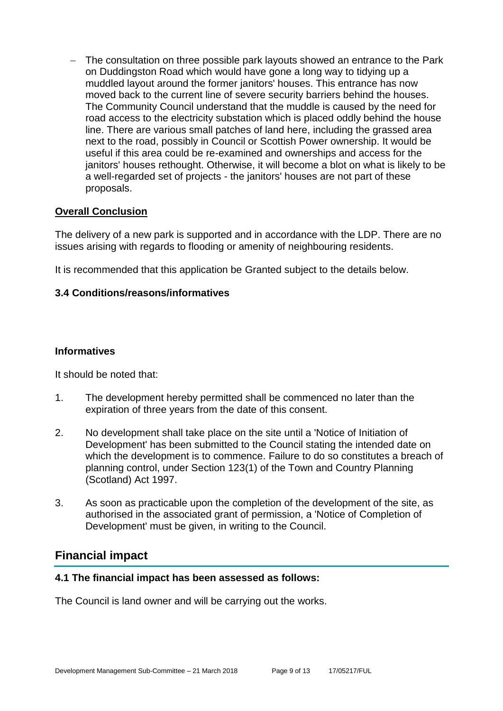- The consultation on three possible park layouts showed an entrance to the Park on Duddingston Road which would have gone a long way to tidying up a muddled layout around the former janitors' houses. This entrance has now moved back to the current line of severe security barriers behind the houses. The Community Council understand that the muddle is caused by the need for road access to the electricity substation which is placed oddly behind the house line. There are various small patches of land here, including the grassed area next to the road, possibly in Council or Scottish Power ownership. It would be useful if this area could be re-examined and ownerships and access for the janitors' houses rethought. Otherwise, it will become a blot on what is likely to be a well-regarded set of projects - the janitors' houses are not part of these proposals.

#### **Overall Conclusion**

The delivery of a new park is supported and in accordance with the LDP. There are no issues arising with regards to flooding or amenity of neighbouring residents.

It is recommended that this application be Granted subject to the details below.

#### **3.4 Conditions/reasons/informatives**

#### **Informatives**

It should be noted that:

- 1. The development hereby permitted shall be commenced no later than the expiration of three years from the date of this consent.
- 2. No development shall take place on the site until a 'Notice of Initiation of Development' has been submitted to the Council stating the intended date on which the development is to commence. Failure to do so constitutes a breach of planning control, under Section 123(1) of the Town and Country Planning (Scotland) Act 1997.
- 3. As soon as practicable upon the completion of the development of the site, as authorised in the associated grant of permission, a 'Notice of Completion of Development' must be given, in writing to the Council.

# **Financial impact**

#### **4.1 The financial impact has been assessed as follows:**

The Council is land owner and will be carrying out the works.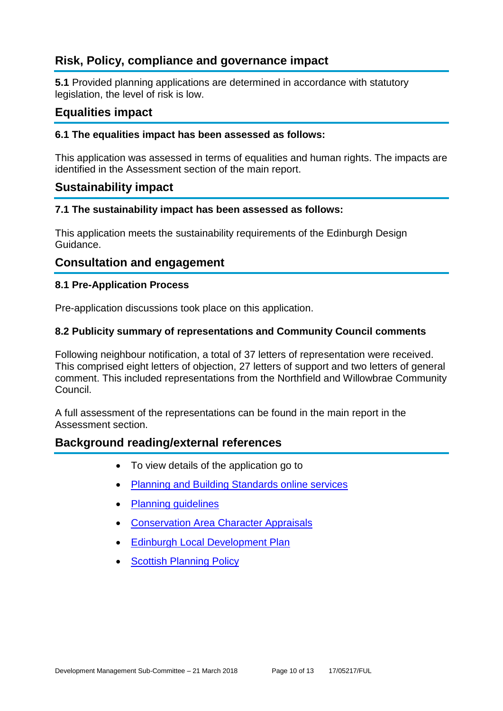# **Risk, Policy, compliance and governance impact**

**5.1** Provided planning applications are determined in accordance with statutory legislation, the level of risk is low.

### **Equalities impact**

#### **6.1 The equalities impact has been assessed as follows:**

This application was assessed in terms of equalities and human rights. The impacts are identified in the Assessment section of the main report.

#### **Sustainability impact**

#### **7.1 The sustainability impact has been assessed as follows:**

This application meets the sustainability requirements of the Edinburgh Design Guidance.

#### **Consultation and engagement**

#### **8.1 Pre-Application Process**

Pre-application discussions took place on this application.

#### **8.2 Publicity summary of representations and Community Council comments**

Following neighbour notification, a total of 37 letters of representation were received. This comprised eight letters of objection, 27 letters of support and two letters of general comment. This included representations from the Northfield and Willowbrae Community Council.

A full assessment of the representations can be found in the main report in the Assessment section.

#### **Background reading/external references**

- To view details of the application go to
- [Planning and Building Standards online services](https://citydev-portal.edinburgh.gov.uk/idoxpa-web/search.do?action=simple&searchType=Application)
- [Planning guidelines](http://www.edinburgh.gov.uk/planningguidelines)
- [Conservation Area Character Appraisals](http://www.edinburgh.gov.uk/characterappraisals)
- [Edinburgh Local Development Plan](http://www.edinburgh.gov.uk/localdevelopmentplan)
- **[Scottish Planning Policy](http://www.scotland.gov.uk/Topics/Built-Environment/planning/Policy)**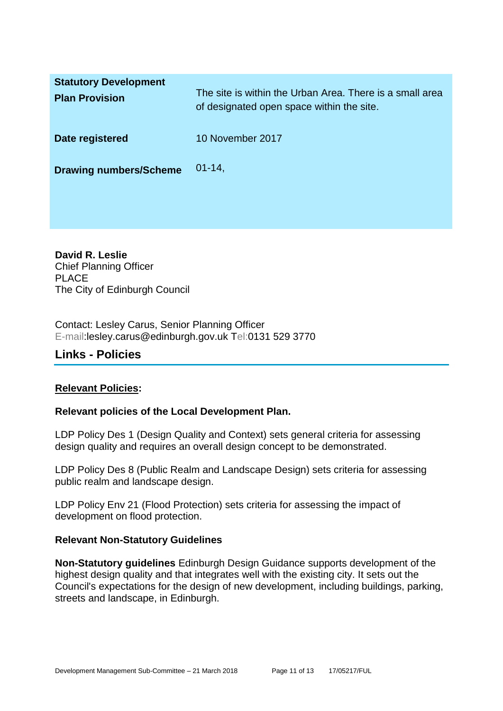| <b>Statutory Development</b><br><b>Plan Provision</b> | The site is within the Urban Area. There is a small area<br>of designated open space within the site. |
|-------------------------------------------------------|-------------------------------------------------------------------------------------------------------|
| Date registered                                       | 10 November 2017                                                                                      |
| <b>Drawing numbers/Scheme</b>                         | $01 - 14$ ,                                                                                           |

**David R. Leslie** Chief Planning Officer PLACE The City of Edinburgh Council

Contact: Lesley Carus, Senior Planning Officer E-mail:lesley.carus@edinburgh.gov.uk Tel:0131 529 3770

## **Links - Policies**

#### **Relevant Policies:**

#### **Relevant policies of the Local Development Plan.**

LDP Policy Des 1 (Design Quality and Context) sets general criteria for assessing design quality and requires an overall design concept to be demonstrated.

LDP Policy Des 8 (Public Realm and Landscape Design) sets criteria for assessing public realm and landscape design.

LDP Policy Env 21 (Flood Protection) sets criteria for assessing the impact of development on flood protection.

#### **Relevant Non-Statutory Guidelines**

**Non-Statutory guidelines** Edinburgh Design Guidance supports development of the highest design quality and that integrates well with the existing city. It sets out the Council's expectations for the design of new development, including buildings, parking, streets and landscape, in Edinburgh.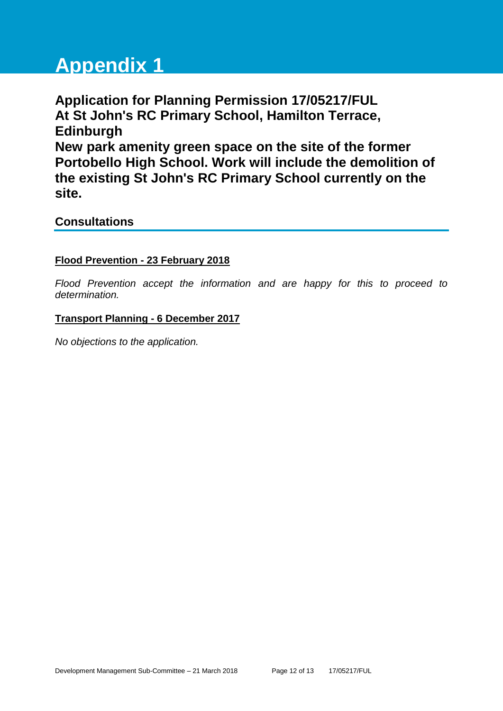# **Appendix 1**

**Application for Planning Permission 17/05217/FUL At St John's RC Primary School, Hamilton Terrace, Edinburgh New park amenity green space on the site of the former Portobello High School. Work will include the demolition of the existing St John's RC Primary School currently on the site.**

# **Consultations**

#### **Flood Prevention - 23 February 2018**

*Flood Prevention accept the information and are happy for this to proceed to determination.*

#### **Transport Planning - 6 December 2017**

*No objections to the application.*